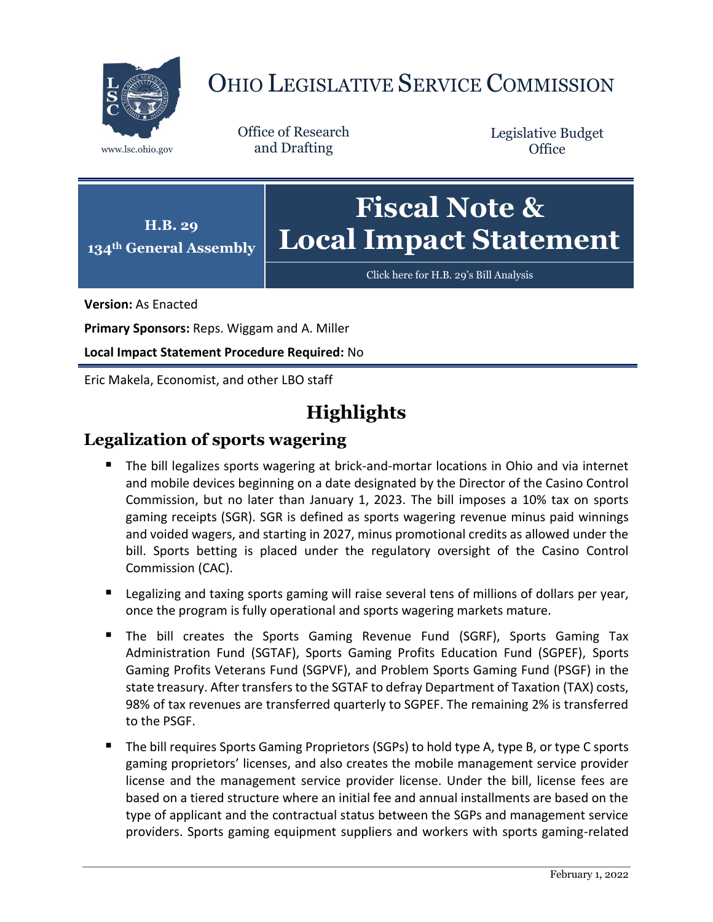

# OHIO LEGISLATIVE SERVICE COMMISSION

Office of Research www.lsc.ohio.gov and Drafting

Legislative Budget **Office** 



[Click here for H.B. 29](https://www.legislature.ohio.gov/legislation/legislation-documents?id=GA134-HB-29)'s Bill Analysis

**Version:** As Enacted

**Primary Sponsors:** Reps. Wiggam and A. Miller

**Local Impact Statement Procedure Required:** No

Eric Makela, Economist, and other LBO staff

# **Highlights**

# **Legalization of sports wagering**

- The bill legalizes sports wagering at brick-and-mortar locations in Ohio and via internet and mobile devices beginning on a date designated by the Director of the Casino Control Commission, but no later than January 1, 2023. The bill imposes a 10% tax on sports gaming receipts (SGR). SGR is defined as sports wagering revenue minus paid winnings and voided wagers, and starting in 2027, minus promotional credits as allowed under the bill. Sports betting is placed under the regulatory oversight of the Casino Control Commission (CAC).
- **Legalizing and taxing sports gaming will raise several tens of millions of dollars per year,** once the program is fully operational and sports wagering markets mature.
- The bill creates the Sports Gaming Revenue Fund (SGRF), Sports Gaming Tax Administration Fund (SGTAF), Sports Gaming Profits Education Fund (SGPEF), Sports Gaming Profits Veterans Fund (SGPVF), and Problem Sports Gaming Fund (PSGF) in the state treasury. After transfers to the SGTAF to defray Department of Taxation (TAX) costs, 98% of tax revenues are transferred quarterly to SGPEF. The remaining 2% is transferred to the PSGF.
- The bill requires Sports Gaming Proprietors (SGPs) to hold type A, type B, or type C sports gaming proprietors' licenses, and also creates the mobile management service provider license and the management service provider license. Under the bill, license fees are based on a tiered structure where an initial fee and annual installments are based on the type of applicant and the contractual status between the SGPs and management service providers. Sports gaming equipment suppliers and workers with sports gaming-related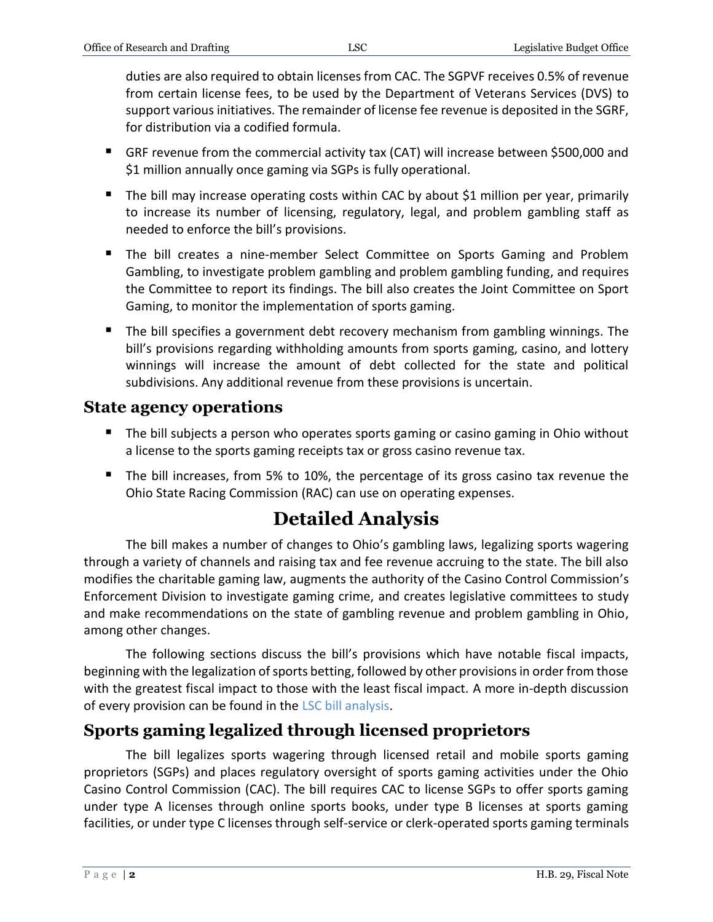duties are also required to obtain licenses from CAC. The SGPVF receives 0.5% of revenue from certain license fees, to be used by the Department of Veterans Services (DVS) to support various initiatives. The remainder of license fee revenue is deposited in the SGRF, for distribution via a codified formula.

- GRF revenue from the commercial activity tax (CAT) will increase between \$500,000 and \$1 million annually once gaming via SGPs is fully operational.
- The bill may increase operating costs within CAC by about \$1 million per year, primarily to increase its number of licensing, regulatory, legal, and problem gambling staff as needed to enforce the bill's provisions.
- The bill creates a nine-member Select Committee on Sports Gaming and Problem Gambling, to investigate problem gambling and problem gambling funding, and requires the Committee to report its findings. The bill also creates the Joint Committee on Sport Gaming, to monitor the implementation of sports gaming.
- The bill specifies a government debt recovery mechanism from gambling winnings. The bill's provisions regarding withholding amounts from sports gaming, casino, and lottery winnings will increase the amount of debt collected for the state and political subdivisions. Any additional revenue from these provisions is uncertain.

### **State agency operations**

- The bill subjects a person who operates sports gaming or casino gaming in Ohio without a license to the sports gaming receipts tax or gross casino revenue tax.
- The bill increases, from 5% to 10%, the percentage of its gross casino tax revenue the Ohio State Racing Commission (RAC) can use on operating expenses.

# **Detailed Analysis**

The bill makes a number of changes to Ohio's gambling laws, legalizing sports wagering through a variety of channels and raising tax and fee revenue accruing to the state. The bill also modifies the charitable gaming law, augments the authority of the Casino Control Commission's Enforcement Division to investigate gaming crime, and creates legislative committees to study and make recommendations on the state of gambling revenue and problem gambling in Ohio, among other changes.

The following sections discuss the bill's provisions which have notable fiscal impacts, beginning with the legalization of sports betting, followed by other provisions in order from those with the greatest fiscal impact to those with the least fiscal impact. A more in-depth discussion of every provision can be found in the [LSC bill analysis.](https://www.legislature.ohio.gov/legislation/legislation-documents?id=GA134-HB-29)

# **Sports gaming legalized through licensed proprietors**

The bill legalizes sports wagering through licensed retail and mobile sports gaming proprietors (SGPs) and places regulatory oversight of sports gaming activities under the Ohio Casino Control Commission (CAC). The bill requires CAC to license SGPs to offer sports gaming under type A licenses through online sports books, under type B licenses at sports gaming facilities, or under type C licenses through self-service or clerk-operated sports gaming terminals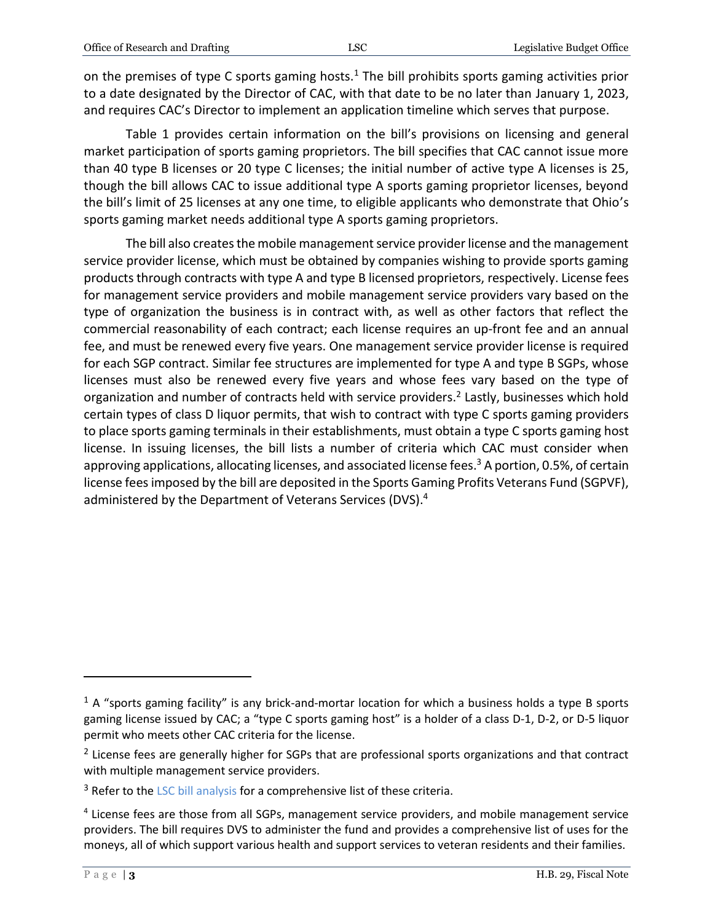on the premises of type C sports gaming hosts.<sup>1</sup> The bill prohibits sports gaming activities prior to a date designated by the Director of CAC, with that date to be no later than January 1, 2023, and requires CAC's Director to implement an application timeline which serves that purpose.

Table 1 provides certain information on the bill's provisions on licensing and general market participation of sports gaming proprietors. The bill specifies that CAC cannot issue more than 40 type B licenses or 20 type C licenses; the initial number of active type A licenses is 25, though the bill allows CAC to issue additional type A sports gaming proprietor licenses, beyond the bill's limit of 25 licenses at any one time, to eligible applicants who demonstrate that Ohio's sports gaming market needs additional type A sports gaming proprietors.

The bill also creates the mobile management service provider license and the management service provider license, which must be obtained by companies wishing to provide sports gaming products through contracts with type A and type B licensed proprietors, respectively. License fees for management service providers and mobile management service providers vary based on the type of organization the business is in contract with, as well as other factors that reflect the commercial reasonability of each contract; each license requires an up-front fee and an annual fee, and must be renewed every five years. One management service provider license is required for each SGP contract. Similar fee structures are implemented for type A and type B SGPs, whose licenses must also be renewed every five years and whose fees vary based on the type of organization and number of contracts held with service providers.<sup>2</sup> Lastly, businesses which hold certain types of class D liquor permits, that wish to contract with type C sports gaming providers to place sports gaming terminals in their establishments, must obtain a type C sports gaming host license. In issuing licenses, the bill lists a number of criteria which CAC must consider when approving applications, allocating licenses, and associated license fees. <sup>3</sup> A portion, 0.5%, of certain license fees imposed by the bill are deposited in the Sports Gaming Profits Veterans Fund (SGPVF), administered by the Department of Veterans Services (DVS). 4

 $1$  A "sports gaming facility" is any brick-and-mortar location for which a business holds a type B sports gaming license issued by CAC; a "type C sports gaming host" is a holder of a class D-1, D-2, or D-5 liquor permit who meets other CAC criteria for the license.

<sup>&</sup>lt;sup>2</sup> License fees are generally higher for SGPs that are professional sports organizations and that contract with multiple management service providers.

<sup>&</sup>lt;sup>3</sup> Refer to th[e LSC bill analysis](https://www.legislature.ohio.gov/legislation/legislation-documents?id=GA134-HB-29) for a comprehensive list of these criteria.

<sup>&</sup>lt;sup>4</sup> License fees are those from all SGPs, management service providers, and mobile management service providers. The bill requires DVS to administer the fund and provides a comprehensive list of uses for the moneys, all of which support various health and support services to veteran residents and their families.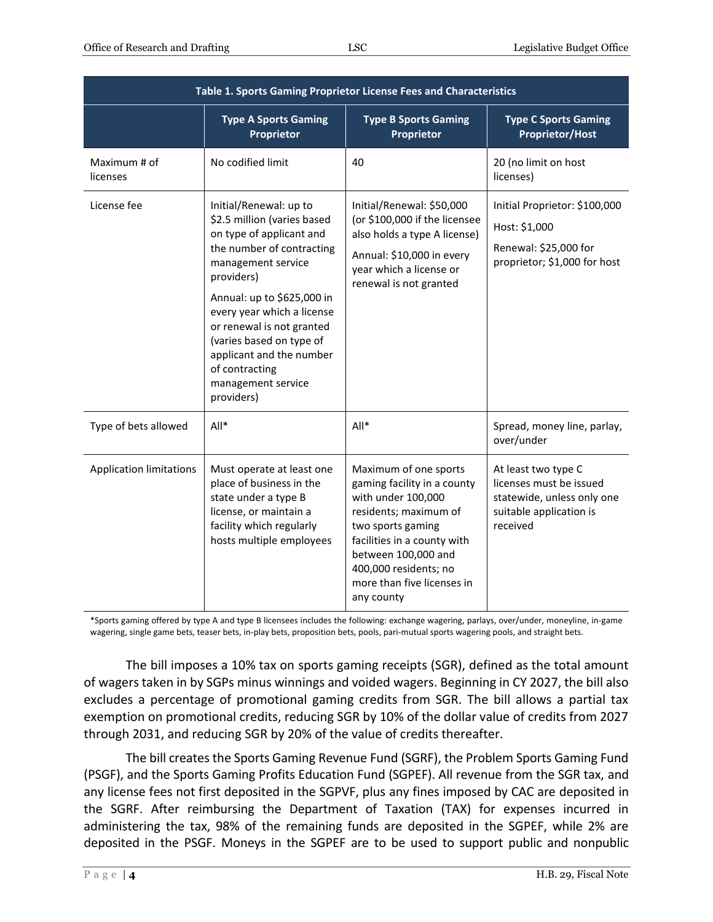| Table 1. Sports Gaming Proprietor License Fees and Characteristics |                                                                                                                                                                                                                                                                                                                                                           |                                                                                                                                                                                                                                                     |                                                                                                                     |  |  |  |
|--------------------------------------------------------------------|-----------------------------------------------------------------------------------------------------------------------------------------------------------------------------------------------------------------------------------------------------------------------------------------------------------------------------------------------------------|-----------------------------------------------------------------------------------------------------------------------------------------------------------------------------------------------------------------------------------------------------|---------------------------------------------------------------------------------------------------------------------|--|--|--|
|                                                                    | <b>Type A Sports Gaming</b><br><b>Proprietor</b>                                                                                                                                                                                                                                                                                                          | <b>Type B Sports Gaming</b><br>Proprietor                                                                                                                                                                                                           | <b>Type C Sports Gaming</b><br><b>Proprietor/Host</b>                                                               |  |  |  |
| Maximum # of<br>licenses                                           | No codified limit                                                                                                                                                                                                                                                                                                                                         | 40                                                                                                                                                                                                                                                  | 20 (no limit on host<br>licenses)                                                                                   |  |  |  |
| License fee                                                        | Initial/Renewal: up to<br>\$2.5 million (varies based<br>on type of applicant and<br>the number of contracting<br>management service<br>providers)<br>Annual: up to \$625,000 in<br>every year which a license<br>or renewal is not granted<br>(varies based on type of<br>applicant and the number<br>of contracting<br>management service<br>providers) | Initial/Renewal: \$50,000<br>(or \$100,000 if the licensee<br>also holds a type A license)<br>Annual: \$10,000 in every<br>year which a license or<br>renewal is not granted                                                                        | Initial Proprietor: \$100,000<br>Host: \$1,000<br>Renewal: \$25,000 for<br>proprietor; \$1,000 for host             |  |  |  |
| Type of bets allowed                                               | $All*$                                                                                                                                                                                                                                                                                                                                                    | $All*$                                                                                                                                                                                                                                              | Spread, money line, parlay,<br>over/under                                                                           |  |  |  |
| <b>Application limitations</b>                                     | Must operate at least one<br>place of business in the<br>state under a type B<br>license, or maintain a<br>facility which regularly<br>hosts multiple employees                                                                                                                                                                                           | Maximum of one sports<br>gaming facility in a county<br>with under 100,000<br>residents; maximum of<br>two sports gaming<br>facilities in a county with<br>between 100,000 and<br>400,000 residents; no<br>more than five licenses in<br>any county | At least two type C<br>licenses must be issued<br>statewide, unless only one<br>suitable application is<br>received |  |  |  |

\*Sports gaming offered by type A and type B licensees includes the following: exchange wagering, parlays, over/under, moneyline, in-game wagering, single game bets, teaser bets, in-play bets, proposition bets, pools, pari-mutual sports wagering pools, and straight bets.

The bill imposes a 10% tax on sports gaming receipts (SGR), defined as the total amount of wagers taken in by SGPs minus winnings and voided wagers. Beginning in CY 2027, the bill also excludes a percentage of promotional gaming credits from SGR. The bill allows a partial tax exemption on promotional credits, reducing SGR by 10% of the dollar value of credits from 2027 through 2031, and reducing SGR by 20% of the value of credits thereafter.

The bill creates the Sports Gaming Revenue Fund (SGRF), the Problem Sports Gaming Fund (PSGF), and the Sports Gaming Profits Education Fund (SGPEF). All revenue from the SGR tax, and any license fees not first deposited in the SGPVF, plus any fines imposed by CAC are deposited in the SGRF. After reimbursing the Department of Taxation (TAX) for expenses incurred in administering the tax, 98% of the remaining funds are deposited in the SGPEF, while 2% are deposited in the PSGF. Moneys in the SGPEF are to be used to support public and nonpublic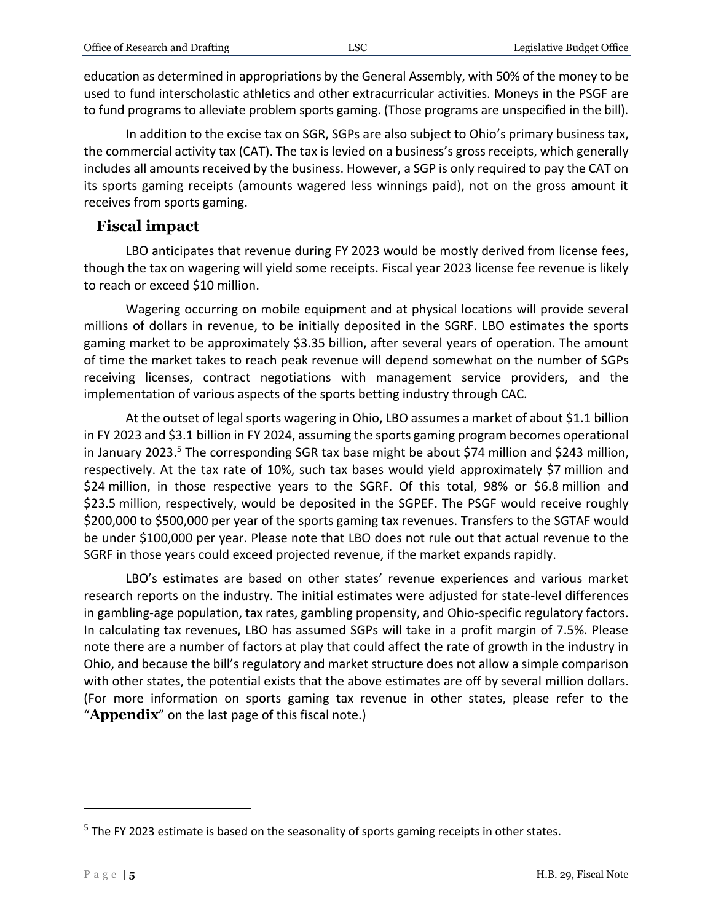education as determined in appropriations by the General Assembly, with 50% of the money to be used to fund interscholastic athletics and other extracurricular activities. Moneys in the PSGF are to fund programs to alleviate problem sports gaming. (Those programs are unspecified in the bill).

In addition to the excise tax on SGR, SGPs are also subject to Ohio's primary business tax, the commercial activity tax (CAT). The tax is levied on a business's gross receipts, which generally includes all amounts received by the business. However, a SGP is only required to pay the CAT on its sports gaming receipts (amounts wagered less winnings paid), not on the gross amount it receives from sports gaming.

#### **Fiscal impact**

LBO anticipates that revenue during FY 2023 would be mostly derived from license fees, though the tax on wagering will yield some receipts. Fiscal year 2023 license fee revenue is likely to reach or exceed \$10 million.

Wagering occurring on mobile equipment and at physical locations will provide several millions of dollars in revenue, to be initially deposited in the SGRF. LBO estimates the sports gaming market to be approximately \$3.35 billion, after several years of operation. The amount of time the market takes to reach peak revenue will depend somewhat on the number of SGPs receiving licenses, contract negotiations with management service providers, and the implementation of various aspects of the sports betting industry through CAC.

At the outset of legal sports wagering in Ohio, LBO assumes a market of about \$1.1 billion in FY 2023 and \$3.1 billion in FY 2024, assuming the sports gaming program becomes operational in January 2023.<sup>5</sup> The corresponding SGR tax base might be about \$74 million and \$243 million, respectively. At the tax rate of 10%, such tax bases would yield approximately \$7 million and \$24 million, in those respective years to the SGRF. Of this total, 98% or \$6.8 million and \$23.5 million, respectively, would be deposited in the SGPEF. The PSGF would receive roughly \$200,000 to \$500,000 per year of the sports gaming tax revenues. Transfers to the SGTAF would be under \$100,000 per year. Please note that LBO does not rule out that actual revenue to the SGRF in those years could exceed projected revenue, if the market expands rapidly.

LBO's estimates are based on other states' revenue experiences and various market research reports on the industry. The initial estimates were adjusted for state-level differences in gambling-age population, tax rates, gambling propensity, and Ohio-specific regulatory factors. In calculating tax revenues, LBO has assumed SGPs will take in a profit margin of 7.5%. Please note there are a number of factors at play that could affect the rate of growth in the industry in Ohio, and because the bill's regulatory and market structure does not allow a simple comparison with other states, the potential exists that the above estimates are off by several million dollars. (For more information on sports gaming tax revenue in other states, please refer to the "**Appendix**" on the last page of this fiscal note.)

 $<sup>5</sup>$  The FY 2023 estimate is based on the seasonality of sports gaming receipts in other states.</sup>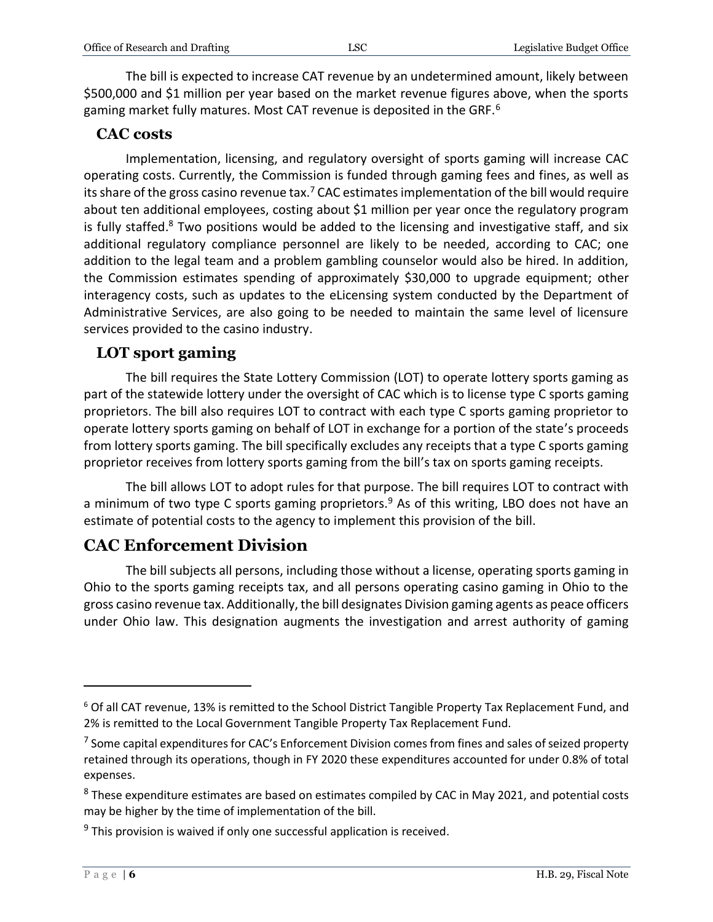The bill is expected to increase CAT revenue by an undetermined amount, likely between \$500,000 and \$1 million per year based on the market revenue figures above, when the sports gaming market fully matures. Most CAT revenue is deposited in the GRF.<sup>6</sup>

#### **CAC costs**

Implementation, licensing, and regulatory oversight of sports gaming will increase CAC operating costs. Currently, the Commission is funded through gaming fees and fines, as well as its share of the gross casino revenue tax.<sup>7</sup> CAC estimates implementation of the bill would require about ten additional employees, costing about \$1 million per year once the regulatory program is fully staffed.<sup>8</sup> Two positions would be added to the licensing and investigative staff, and six additional regulatory compliance personnel are likely to be needed, according to CAC; one addition to the legal team and a problem gambling counselor would also be hired. In addition, the Commission estimates spending of approximately \$30,000 to upgrade equipment; other interagency costs, such as updates to the eLicensing system conducted by the Department of Administrative Services, are also going to be needed to maintain the same level of licensure services provided to the casino industry.

#### **LOT sport gaming**

The bill requires the State Lottery Commission (LOT) to operate lottery sports gaming as part of the statewide lottery under the oversight of CAC which is to license type C sports gaming proprietors. The bill also requires LOT to contract with each type C sports gaming proprietor to operate lottery sports gaming on behalf of LOT in exchange for a portion of the state's proceeds from lottery sports gaming. The bill specifically excludes any receipts that a type C sports gaming proprietor receives from lottery sports gaming from the bill's tax on sports gaming receipts.

The bill allows LOT to adopt rules for that purpose. The bill requires LOT to contract with a minimum of two type C sports gaming proprietors.<sup>9</sup> As of this writing, LBO does not have an estimate of potential costs to the agency to implement this provision of the bill.

# **CAC Enforcement Division**

The bill subjects all persons, including those without a license, operating sports gaming in Ohio to the sports gaming receipts tax, and all persons operating casino gaming in Ohio to the gross casino revenue tax. Additionally, the bill designates Division gaming agents as peace officers under Ohio law. This designation augments the investigation and arrest authority of gaming

<sup>&</sup>lt;sup>6</sup> Of all CAT revenue, 13% is remitted to the School District Tangible Property Tax Replacement Fund, and 2% is remitted to the Local Government Tangible Property Tax Replacement Fund.

<sup>&</sup>lt;sup>7</sup> Some capital expenditures for CAC's Enforcement Division comes from fines and sales of seized property retained through its operations, though in FY 2020 these expenditures accounted for under 0.8% of total expenses.

<sup>&</sup>lt;sup>8</sup> These expenditure estimates are based on estimates compiled by CAC in May 2021, and potential costs may be higher by the time of implementation of the bill.

<sup>&</sup>lt;sup>9</sup> This provision is waived if only one successful application is received.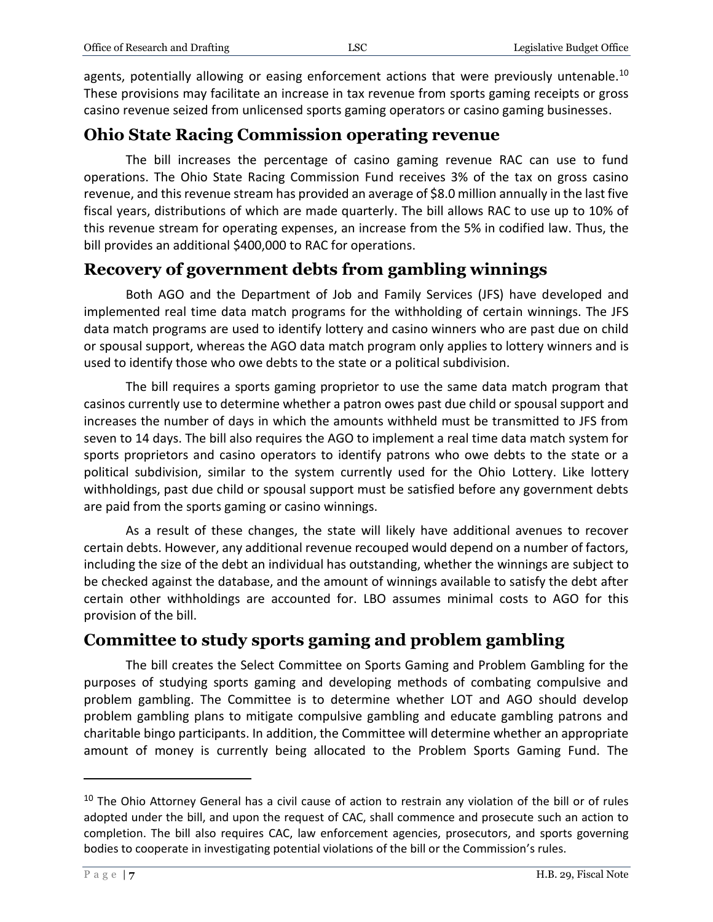agents, potentially allowing or easing enforcement actions that were previously untenable.<sup>10</sup> These provisions may facilitate an increase in tax revenue from sports gaming receipts or gross casino revenue seized from unlicensed sports gaming operators or casino gaming businesses.

#### **Ohio State Racing Commission operating revenue**

The bill increases the percentage of casino gaming revenue RAC can use to fund operations. The Ohio State Racing Commission Fund receives 3% of the tax on gross casino revenue, and this revenue stream has provided an average of \$8.0 million annually in the last five fiscal years, distributions of which are made quarterly. The bill allows RAC to use up to 10% of this revenue stream for operating expenses, an increase from the 5% in codified law. Thus, the bill provides an additional \$400,000 to RAC for operations.

# **Recovery of government debts from gambling winnings**

Both AGO and the Department of Job and Family Services (JFS) have developed and implemented real time data match programs for the withholding of certain winnings. The JFS data match programs are used to identify lottery and casino winners who are past due on child or spousal support, whereas the AGO data match program only applies to lottery winners and is used to identify those who owe debts to the state or a political subdivision.

The bill requires a sports gaming proprietor to use the same data match program that casinos currently use to determine whether a patron owes past due child or spousal support and increases the number of days in which the amounts withheld must be transmitted to JFS from seven to 14 days. The bill also requires the AGO to implement a real time data match system for sports proprietors and casino operators to identify patrons who owe debts to the state or a political subdivision, similar to the system currently used for the Ohio Lottery. Like lottery withholdings, past due child or spousal support must be satisfied before any government debts are paid from the sports gaming or casino winnings.

As a result of these changes, the state will likely have additional avenues to recover certain debts. However, any additional revenue recouped would depend on a number of factors, including the size of the debt an individual has outstanding, whether the winnings are subject to be checked against the database, and the amount of winnings available to satisfy the debt after certain other withholdings are accounted for. LBO assumes minimal costs to AGO for this provision of the bill.

### **Committee to study sports gaming and problem gambling**

The bill creates the Select Committee on Sports Gaming and Problem Gambling for the purposes of studying sports gaming and developing methods of combating compulsive and problem gambling. The Committee is to determine whether LOT and AGO should develop problem gambling plans to mitigate compulsive gambling and educate gambling patrons and charitable bingo participants. In addition, the Committee will determine whether an appropriate amount of money is currently being allocated to the Problem Sports Gaming Fund. The

 $10$  The Ohio Attorney General has a civil cause of action to restrain any violation of the bill or of rules adopted under the bill, and upon the request of CAC, shall commence and prosecute such an action to completion. The bill also requires CAC, law enforcement agencies, prosecutors, and sports governing bodies to cooperate in investigating potential violations of the bill or the Commission's rules.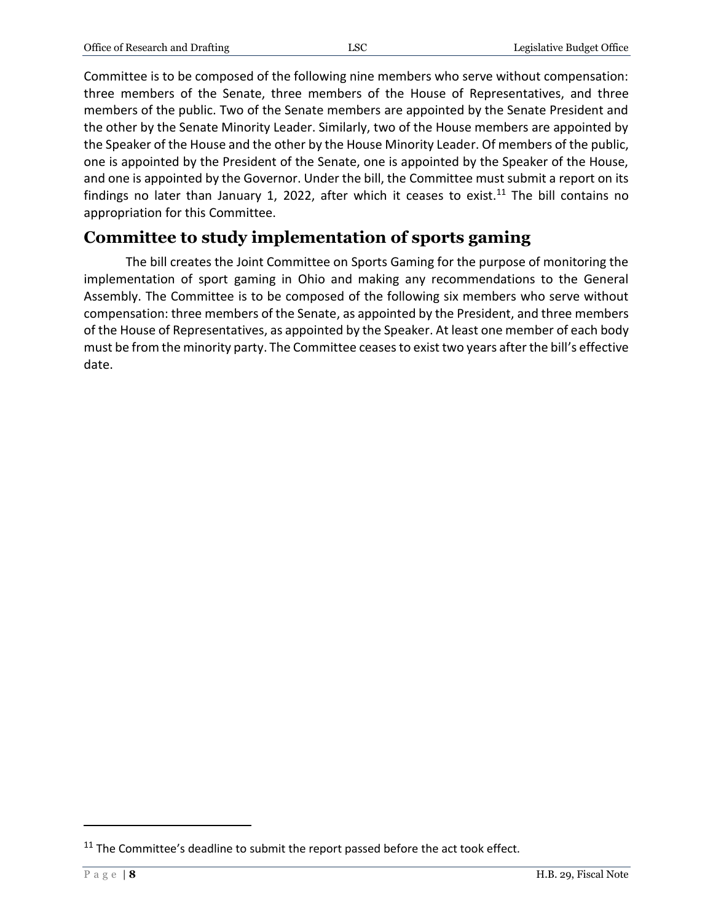Committee is to be composed of the following nine members who serve without compensation: three members of the Senate, three members of the House of Representatives, and three members of the public. Two of the Senate members are appointed by the Senate President and the other by the Senate Minority Leader. Similarly, two of the House members are appointed by the Speaker of the House and the other by the House Minority Leader. Of members of the public, one is appointed by the President of the Senate, one is appointed by the Speaker of the House, and one is appointed by the Governor. Under the bill, the Committee must submit a report on its findings no later than January 1, 2022, after which it ceases to exist.<sup>11</sup> The bill contains no appropriation for this Committee.

# **Committee to study implementation of sports gaming**

The bill creates the Joint Committee on Sports Gaming for the purpose of monitoring the implementation of sport gaming in Ohio and making any recommendations to the General Assembly. The Committee is to be composed of the following six members who serve without compensation: three members of the Senate, as appointed by the President, and three members of the House of Representatives, as appointed by the Speaker. At least one member of each body must be from the minority party. The Committee ceases to exist two years after the bill's effective date.

 $11$  The Committee's deadline to submit the report passed before the act took effect.